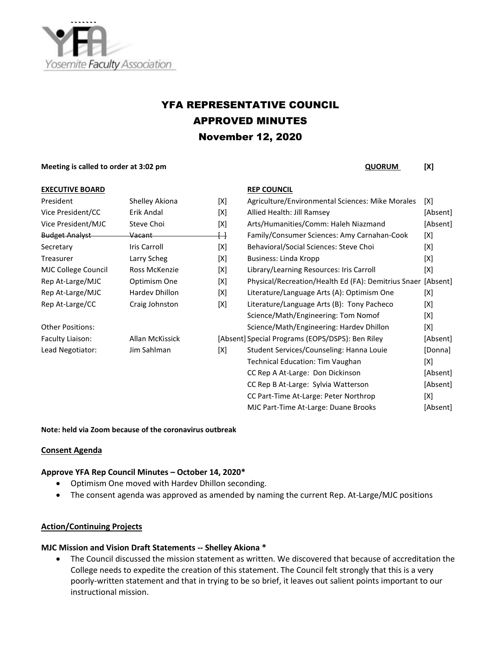

# YFA REPRESENTATIVE COUNCIL APPROVED MINUTES November 12, 2020

#### **Meeting is called to order at 3:02 pm CONDITY CONDITY CONDITY CONDITY CONDITY CONDITY CONDITY CONDITY CONDITY CONDITY CONDITY CONDITY CONDITY CONDITY CONDITY CONDITY CONDITY CONDITY C**

#### **EXECUTIVE BOARD REP COUNCIL**

| President               | Shelley Akiona  | [X] |
|-------------------------|-----------------|-----|
| Vice President/CC       | Frik Andal      | [X] |
| Vice President/MJC      | Steve Choi      | [X] |
| <b>Budget Analyst</b>   | Vacant          | ⊣   |
| Secretary               | Iris Carroll    | [X] |
| Treasurer               | Larry Scheg     | [X] |
| MJC College Council     | Ross McKenzie   | [X] |
| Rep At-Large/MJC        | Optimism One    | [X] |
| Rep At-Large/MJC        | Hardev Dhillon  | [X] |
| Rep At-Large/CC         | Craig Johnston  | [X] |
| <b>Other Positions:</b> |                 |     |
| Faculty Liaison:        | Allan McKissick | [Ab |
| Lead Negotiator:        | Jim Sahlman     | [X] |
|                         |                 |     |

| Shelley Akiona    | [X] | Agriculture/Environmental Sciences: Mike Morales    | [X]                                              |
|-------------------|-----|-----------------------------------------------------|--------------------------------------------------|
| Erik Andal        | [X] | Allied Health: Jill Ramsey                          | [Absent]                                         |
| Steve Choi        | [X] | Arts/Humanities/Comm: Haleh Niazmand                | [Absent]                                         |
| <del>Vacant</del> | ↔   | Family/Consumer Sciences: Amy Carnahan-Cook         | [X]                                              |
| Iris Carroll      | [X] | Behavioral/Social Sciences: Steve Choi              | [X]                                              |
| Larry Scheg       | [X] | Business: Linda Kropp                               | [X]                                              |
| Ross McKenzie     | [X] | Library/Learning Resources: Iris Carroll            | [X]                                              |
| Optimism One      | [X] | Physical/Recreation/Health Ed (FA): Demitrius Snaer | [Absent]                                         |
| Hardev Dhillon    | [X] | Literature/Language Arts (A): Optimism One          | [X]                                              |
| Craig Johnston    | [X] | Literature/Language Arts (B): Tony Pacheco          | [X]                                              |
|                   |     | Science/Math/Engineering: Tom Nomof                 | [X]                                              |
|                   |     | Science/Math/Engineering: Hardev Dhillon            | [X]                                              |
| Allan McKissick   |     |                                                     | [Absent]                                         |
| Jim Sahlman       | [X] | Student Services/Counseling: Hanna Louie            | [Donna]                                          |
|                   |     | <b>Technical Education: Tim Vaughan</b>             | [X]                                              |
|                   |     | CC Rep A At-Large: Don Dickinson                    | [Absent]                                         |
|                   |     | CC Rep B At-Large: Sylvia Watterson                 | [Absent]                                         |
|                   |     | CC Part-Time At-Large: Peter Northrop               | [X]                                              |
|                   |     | MJC Part-Time At-Large: Duane Brooks                | [Absent]                                         |
|                   |     |                                                     | [Absent] Special Programs (EOPS/DSPS): Ben Riley |

#### **Note: held via Zoom because of the coronavirus outbreak**

#### **Consent Agenda**

#### **Approve YFA Rep Council Minutes – October 14, 2020\***

- Optimism One moved with Hardev Dhillon seconding.
- The consent agenda was approved as amended by naming the current Rep. At-Large/MJC positions

### **Action/Continuing Projects**

#### **MJC Mission and Vision Draft Statements -- Shelley Akiona \***

• The Council discussed the mission statement as written. We discovered that because of accreditation the College needs to expedite the creation of this statement. The Council felt strongly that this is a very poorly-written statement and that in trying to be so brief, it leaves out salient points important to our instructional mission.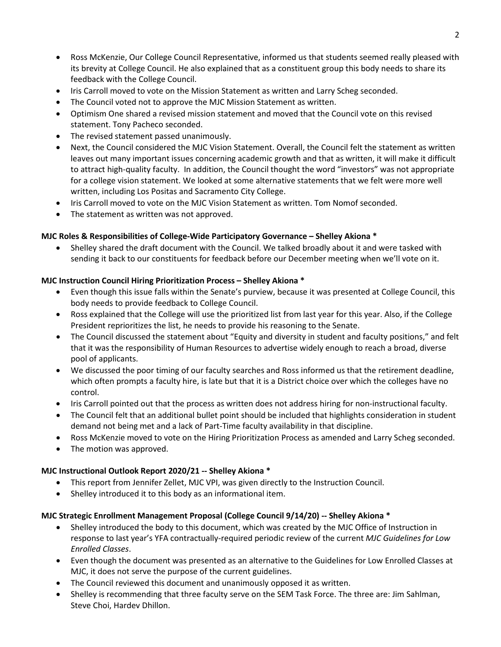- Ross McKenzie, Our College Council Representative, informed us that students seemed really pleased with its brevity at College Council. He also explained that as a constituent group this body needs to share its feedback with the College Council.
- Iris Carroll moved to vote on the Mission Statement as written and Larry Scheg seconded.
- The Council voted not to approve the MJC Mission Statement as written.
- Optimism One shared a revised mission statement and moved that the Council vote on this revised statement. Tony Pacheco seconded.
- The revised statement passed unanimously.
- Next, the Council considered the MJC Vision Statement. Overall, the Council felt the statement as written leaves out many important issues concerning academic growth and that as written, it will make it difficult to attract high-quality faculty. In addition, the Council thought the word "investors" was not appropriate for a college vision statement. We looked at some alternative statements that we felt were more well written, including Los Positas and Sacramento City College.
- Iris Carroll moved to vote on the MJC Vision Statement as written. Tom Nomof seconded.
- The statement as written was not approved.

# **MJC Roles & Responsibilities of College-Wide Participatory Governance – Shelley Akiona \***

• Shelley shared the draft document with the Council. We talked broadly about it and were tasked with sending it back to our constituents for feedback before our December meeting when we'll vote on it.

# **MJC Instruction Council Hiring Prioritization Process – Shelley Akiona \***

- Even though this issue falls within the Senate's purview, because it was presented at College Council, this body needs to provide feedback to College Council.
- Ross explained that the College will use the prioritized list from last year for this year. Also, if the College President reprioritizes the list, he needs to provide his reasoning to the Senate.
- The Council discussed the statement about "Equity and diversity in student and faculty positions," and felt that it was the responsibility of Human Resources to advertise widely enough to reach a broad, diverse pool of applicants.
- We discussed the poor timing of our faculty searches and Ross informed us that the retirement deadline, which often prompts a faculty hire, is late but that it is a District choice over which the colleges have no control.
- Iris Carroll pointed out that the process as written does not address hiring for non-instructional faculty.
- The Council felt that an additional bullet point should be included that highlights consideration in student demand not being met and a lack of Part-Time faculty availability in that discipline.
- Ross McKenzie moved to vote on the Hiring Prioritization Process as amended and Larry Scheg seconded.
- The motion was approved.

# **MJC Instructional Outlook Report 2020/21 -- Shelley Akiona \***

- This report from Jennifer Zellet, MJC VPI, was given directly to the Instruction Council.
- Shelley introduced it to this body as an informational item.

# **MJC Strategic Enrollment Management Proposal (College Council 9/14/20) -- Shelley Akiona \***

- Shelley introduced the body to this document, which was created by the MJC Office of Instruction in response to last year's YFA contractually-required periodic review of the current *MJC Guidelines for Low Enrolled Classes*.
- Even though the document was presented as an alternative to the Guidelines for Low Enrolled Classes at MJC, it does not serve the purpose of the current guidelines.
- The Council reviewed this document and unanimously opposed it as written.
- Shelley is recommending that three faculty serve on the SEM Task Force. The three are: Jim Sahlman, Steve Choi, Hardev Dhillon.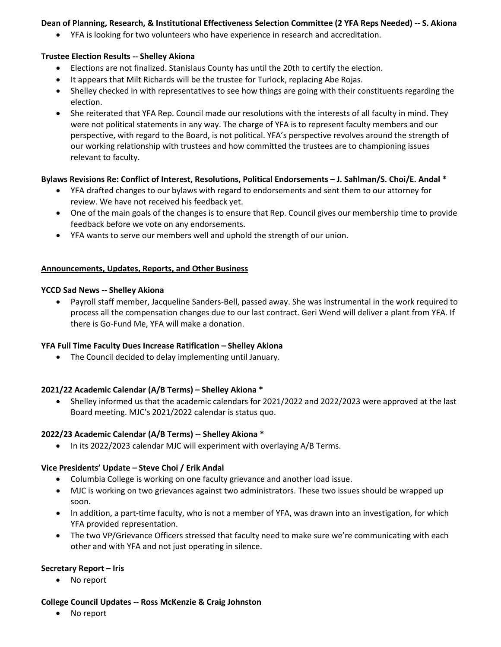# **Dean of Planning, Research, & Institutional Effectiveness Selection Committee (2 YFA Reps Needed) -- S. Akiona**

• YFA is looking for two volunteers who have experience in research and accreditation.

### **Trustee Election Results -- Shelley Akiona**

- Elections are not finalized. Stanislaus County has until the 20th to certify the election.
- It appears that Milt Richards will be the trustee for Turlock, replacing Abe Rojas.
- Shelley checked in with representatives to see how things are going with their constituents regarding the election.
- She reiterated that YFA Rep. Council made our resolutions with the interests of all faculty in mind. They were not political statements in any way. The charge of YFA is to represent faculty members and our perspective, with regard to the Board, is not political. YFA's perspective revolves around the strength of our working relationship with trustees and how committed the trustees are to championing issues relevant to faculty.

## **Bylaws Revisions Re: Conflict of Interest, Resolutions, Political Endorsements – J. Sahlman/S. Choi/E. Andal \***

- YFA drafted changes to our bylaws with regard to endorsements and sent them to our attorney for review. We have not received his feedback yet.
- One of the main goals of the changes is to ensure that Rep. Council gives our membership time to provide feedback before we vote on any endorsements.
- YFA wants to serve our members well and uphold the strength of our union.

## **Announcements, Updates, Reports, and Other Business**

### **YCCD Sad News -- Shelley Akiona**

• Payroll staff member, Jacqueline Sanders-Bell, passed away. She was instrumental in the work required to process all the compensation changes due to our last contract. Geri Wend will deliver a plant from YFA. If there is Go-Fund Me, YFA will make a donation.

# **YFA Full Time Faculty Dues Increase Ratification – Shelley Akiona**

• The Council decided to delay implementing until January.

### **2021/22 Academic Calendar (A/B Terms) – Shelley Akiona \***

• Shelley informed us that the academic calendars for 2021/2022 and 2022/2023 were approved at the last Board meeting. MJC's 2021/2022 calendar is status quo.

### **2022/23 Academic Calendar (A/B Terms) -- Shelley Akiona \***

• In its 2022/2023 calendar MJC will experiment with overlaying A/B Terms.

# **Vice Presidents' Update – Steve Choi / Erik Andal**

- Columbia College is working on one faculty grievance and another load issue.
- MJC is working on two grievances against two administrators. These two issues should be wrapped up soon.
- In addition, a part-time faculty, who is not a member of YFA, was drawn into an investigation, for which YFA provided representation.
- The two VP/Grievance Officers stressed that faculty need to make sure we're communicating with each other and with YFA and not just operating in silence.

### **Secretary Report – Iris**

• No report

### **College Council Updates -- Ross McKenzie & Craig Johnston**

• No report